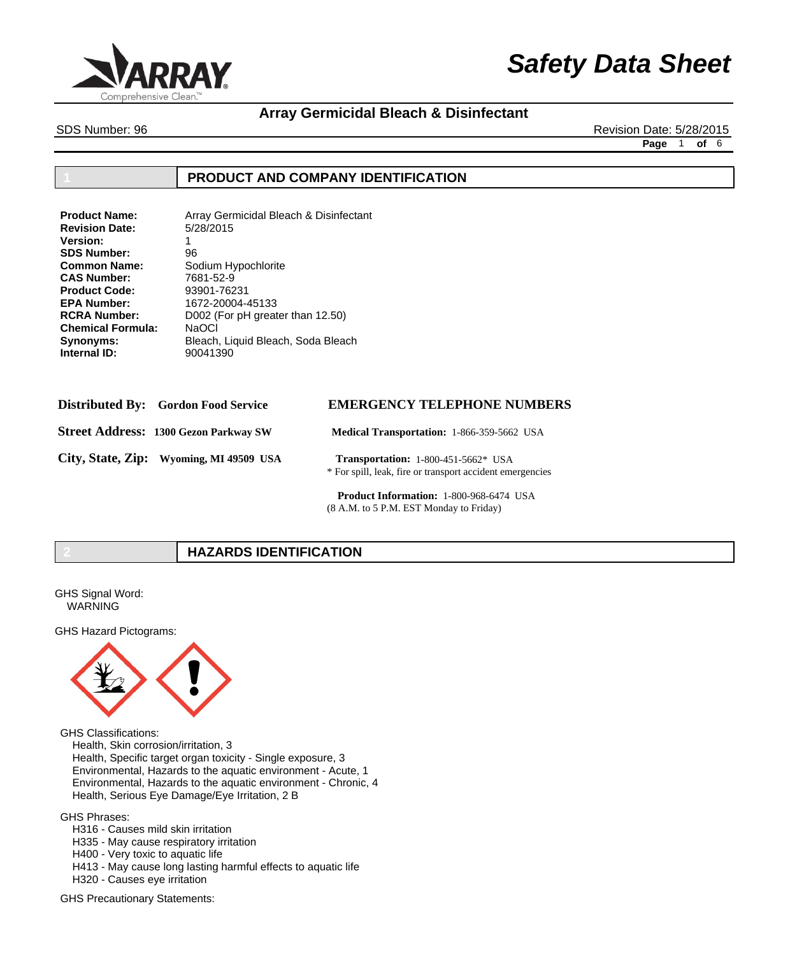

# **Array Germicidal Bleach & Disinfectant**

SDS Number: 96 Revision Date: 5/28/2015

**Page** 1 **of** 6

## **1 PRODUCT AND COMPANY IDENTIFICATION**

| <b>Product Name:</b>     | Array Germicidal Bleach & Disinfectant |
|--------------------------|----------------------------------------|
| <b>Revision Date:</b>    | 5/28/2015                              |
| <b>Version:</b>          | 1                                      |
| <b>SDS Number:</b>       | 96                                     |
| <b>Common Name:</b>      | Sodium Hypochlorite                    |
| <b>CAS Number:</b>       | 7681-52-9                              |
| <b>Product Code:</b>     | 93901-76231                            |
| <b>EPA Number:</b>       | 1672-20004-45133                       |
| <b>RCRA Number:</b>      | D002 (For pH greater than 12.50)       |
| <b>Chemical Formula:</b> | <b>NaOCI</b>                           |
| Synonyms:                | Bleach, Liquid Bleach, Soda Bleach     |
| Internal ID:             | 90041390                               |
|                          |                                        |

| <b>Distributed By:</b> Gordon Food Service   | <b>EMERGENCY TELEPHONE NUMBERS</b>                                                                      |
|----------------------------------------------|---------------------------------------------------------------------------------------------------------|
| <b>Street Address: 1300 Gezon Parkway SW</b> | <b>Medical Transportation: 1-866-359-5662 USA</b>                                                       |
| City, State, Zip: Wyoming, MI 49509 USA      | <b>Transportation:</b> 1-800-451-5662* USA<br>* For spill, leak, fire or transport accident emergencies |

 **Product Information:** 1-800-968-6474 USA (8 A.M. to 5 P.M. EST Monday to Friday)

# **2 HAZARDS IDENTIFICATION**

GHS Signal Word: WARNING

GHS Hazard Pictograms:



GHS Classifications:

 Health, Skin corrosion/irritation, 3 Health, Specific target organ toxicity - Single exposure, 3 Environmental, Hazards to the aquatic environment - Acute, 1 Environmental, Hazards to the aquatic environment - Chronic, 4 Health, Serious Eye Damage/Eye Irritation, 2 B

GHS Phrases:

 H316 - Causes mild skin irritation

 H335 - May cause respiratory irritation

 H400 - Very toxic to aquatic life

 H413 - May cause long lasting harmful effects to aquatic life

 H320 - Causes eye irritation

GHS Precautionary Statements: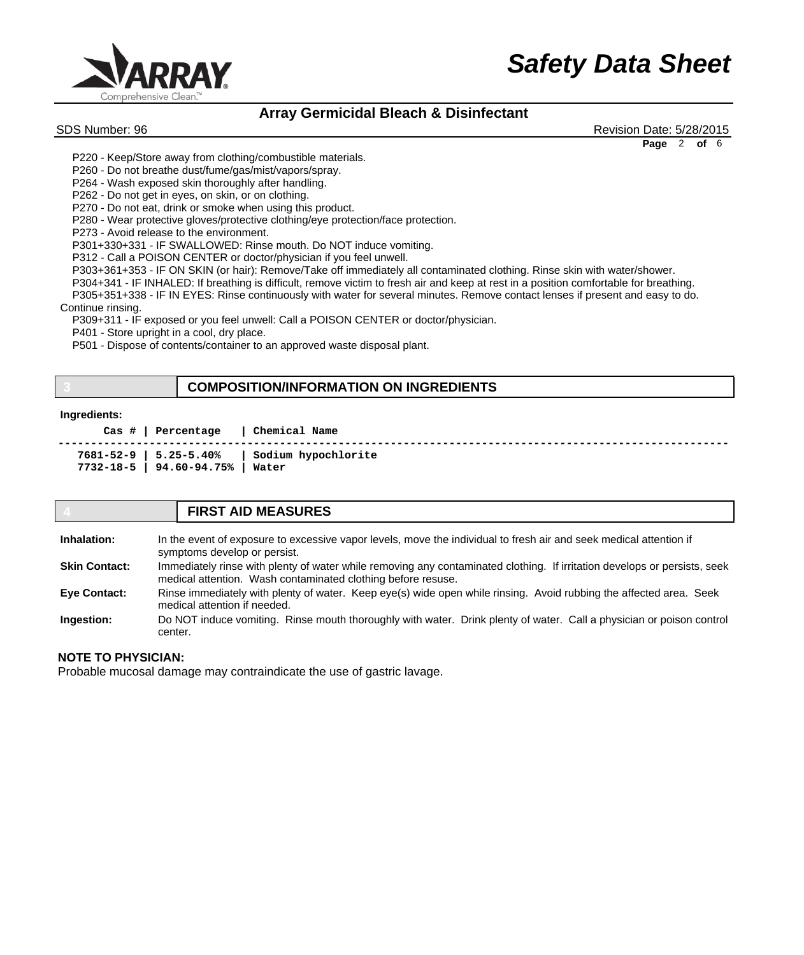

# **Array Germicidal Bleach & Disinfectant**

SDS Number: 96 Revision Date: 5/28/2015 **Page** 2 **of** 6

 P220 - Keep/Store away from clothing/combustible materials.

 P260 - Do not breathe dust/fume/gas/mist/vapors/spray.

 P264 - Wash exposed skin thoroughly after handling.

 P262 - Do not get in eyes, on skin, or on clothing.

 P270 - Do not eat, drink or smoke when using this product.

 P280 - Wear protective gloves/protective clothing/eye protection/face protection.

 P273 - Avoid release to the environment.

 P301+330+331 - IF SWALLOWED: Rinse mouth. Do NOT induce vomiting.

 P312 - Call a POISON CENTER or doctor/physician if you feel unwell.

 P303+361+353 - IF ON SKIN (or hair): Remove/Take off immediately all contaminated clothing. Rinse skin with water/shower.

 P304+341 - IF INHALED: If breathing is difficult, remove victim to fresh air and keep at rest in a position comfortable for breathing. P305+351+338 - IF IN EYES: Rinse continuously with water for several minutes. Remove contact lenses if present and easy to do. Continue rinsing.

 P309+311 - IF exposed or you feel unwell: Call a POISON CENTER or doctor/physician.

 P401 - Store upright in a cool, dry place.

 P501 - Dispose of contents/container to an approved waste disposal plant.

## **3 COMPOSITION/INFORMATION ON INGREDIENTS**

### **Ingredients:**

 **Cas # | Percentage | Chemical Name ------------------------------------------------------------------------------------------------------- 7681-52-9 | 5.25-5.40% | Sodium hypochlorite 7732-18-5 | 94.60-94.75% | Water** 

## **4 FIRST AID MEASURES**

In the event of exposure to excessive vapor levels, move the individual to fresh air and seek medical attention if symptoms develop or persist. **Inhalation:**

Immediately rinse with plenty of water while removing any contaminated clothing. If irritation develops or persists, seek medical attention. Wash contaminated clothing before resuse. **Skin Contact:**

Rinse immediately with plenty of water. Keep eye(s) wide open while rinsing. Avoid rubbing the affected area. Seek medical attention if needed. **Eye Contact:**

Do NOT induce vomiting. Rinse mouth thoroughly with water. Drink plenty of water. Call a physician or poison control center. **Ingestion:**

## **NOTE TO PHYSICIAN:**

Probable mucosal damage may contraindicate the use of gastric lavage.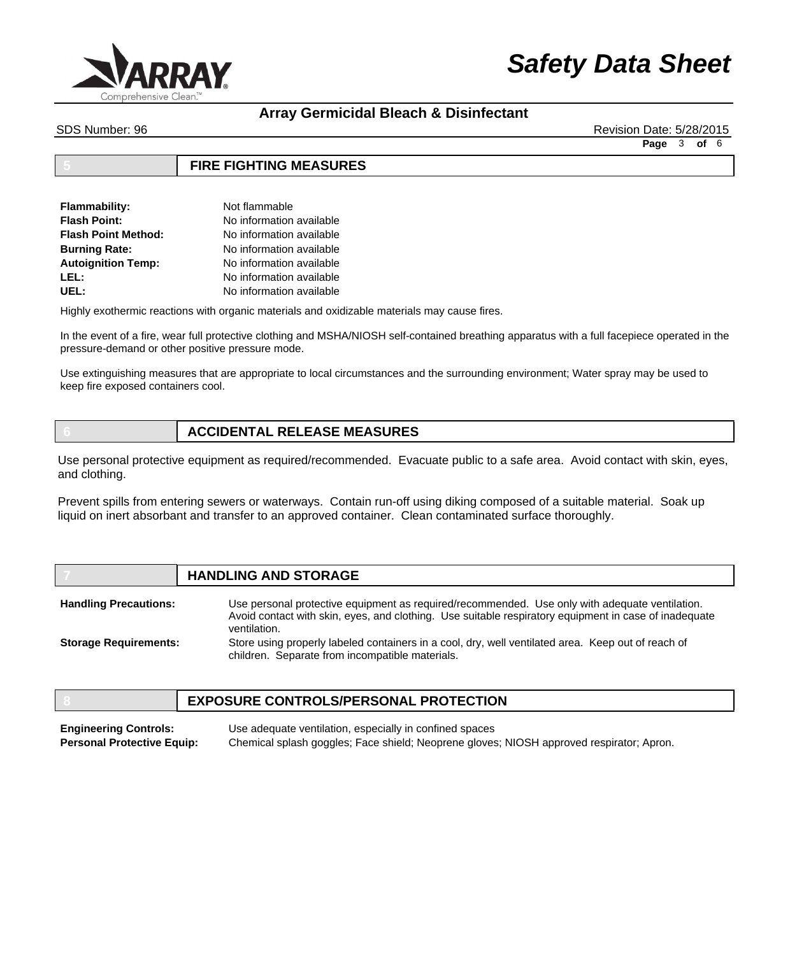

# **Array Germicidal Bleach & Disinfectant**

SDS Number: 96 Revision Date: 5/28/2015

**Page** 3 **of** 6

## **5 FIRE FIGHTING MEASURES**

| Flammability:             | Not flammable            |
|---------------------------|--------------------------|
| <b>Flash Point:</b>       | No information available |
| Flash Point Method:       | No information available |
| <b>Burning Rate:</b>      | No information available |
| <b>Autoignition Temp:</b> | No information available |
| LEL:                      | No information available |
| UEL:                      | No information available |

Highly exothermic reactions with organic materials and oxidizable materials may cause fires.

In the event of a fire, wear full protective clothing and MSHA/NIOSH self-contained breathing apparatus with a full facepiece operated in the pressure-demand or other positive pressure mode.

Use extinguishing measures that are appropriate to local circumstances and the surrounding environment; Water spray may be used to keep fire exposed containers cool.

## **6 ACCIDENTAL RELEASE MEASURES**

Use personal protective equipment as required/recommended. Evacuate public to a safe area. Avoid contact with skin, eyes, and clothing.

Prevent spills from entering sewers or waterways. Contain run-off using diking composed of a suitable material. Soak up liquid on inert absorbant and transfer to an approved container. Clean contaminated surface thoroughly.

# **7 HANDLING AND STORAGE**

Use personal protective equipment as required/recommended. Use only with adequate ventilation. Avoid contact with skin, eyes, and clothing. Use suitable respiratory equipment in case of inadequate ventilation. Store using properly labeled containers in a cool, dry, well ventilated area. Keep out of reach of **Handling Precautions: Storage Requirements:**

## **8 EXPOSURE CONTROLS/PERSONAL PROTECTION**

children. Separate from incompatible materials.

Use adequate ventilation, especially in confined spaces Chemical splash goggles; Face shield; Neoprene gloves; NIOSH approved respirator; Apron. **Engineering Controls: Personal Protective Equip:**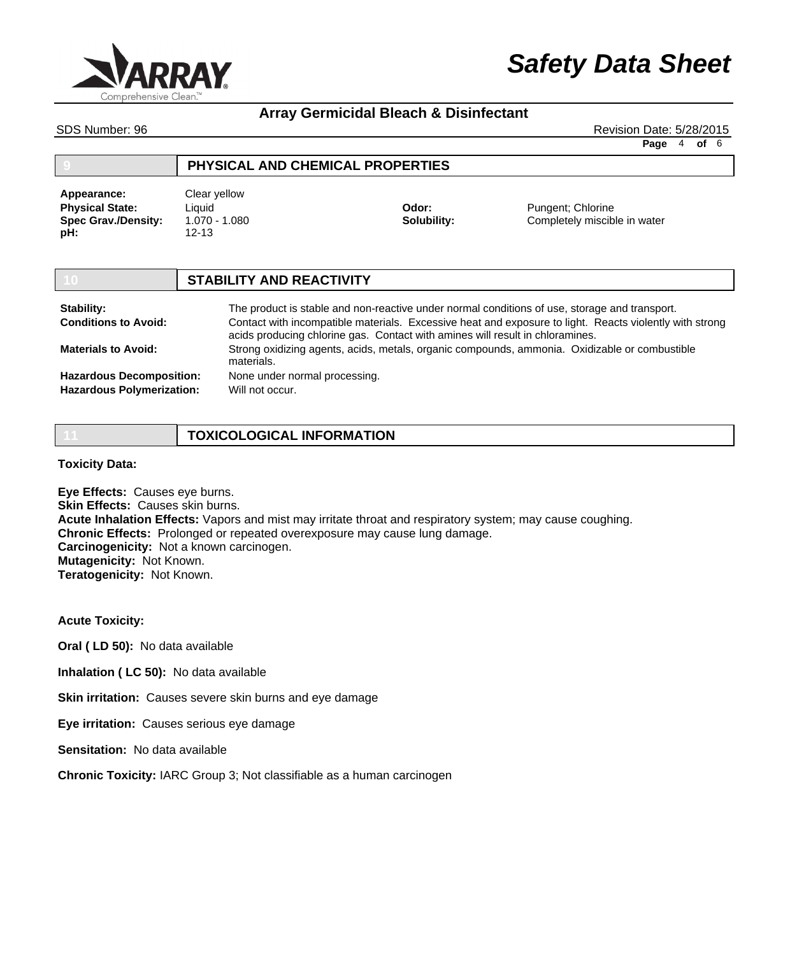

# **Array Germicidal Bleach & Disinfectant**

SDS Number: 96 Revision Date: 5/28/2015

**Page** 4 **of** 6

| PHYSICAL AND CHEMICAL PROPERTIES |
|----------------------------------|
|                                  |

**Physical State: Spec Grav./Density: pH: Appearance:** Clear yellow

Liquid 1.070 - 1.080 12-13

**Odor: Solubility:** Pungent; Chlorine Completely miscible in water

### **10 STABILITY AND REACTIVITY** The product is stable and non-reactive under normal conditions of use, storage and transport. Contact with incompatible materials. Excessive heat and exposure to light. Reacts violently with strong acids producing chlorine gas. Contact with amines will result in chloramines. Strong oxidizing agents, acids, metals, organic compounds, ammonia. Oxidizable or combustible materials. None under normal processing. Will not occur. **Stability: Conditions to Avoid: Materials to Avoid: Hazardous Decomposition: Hazardous Polymerization:**

| <b>TOXICOLOGICAL INFORMATION</b> |
|----------------------------------|
|                                  |

**Toxicity Data:**

**Eye Effects:** Causes eye burns. **Skin Effects: Causes skin burns. Acute Inhalation Effects:** Vapors and mist may irritate throat and respiratory system; may cause coughing. **Chronic Effects:** Prolonged or repeated overexposure may cause lung damage. **Carcinogenicity:** Not a known carcinogen. **Mutagenicity:** Not Known. **Teratogenicity:** Not Known.

**Acute Toxicity:**

**Oral ( LD 50):** No data available

**Inhalation ( LC 50):** No data available

**Skin irritation:** Causes severe skin burns and eye damage

**Eye irritation:** Causes serious eye damage

**Sensitation:** No data available

**Chronic Toxicity:** IARC Group 3; Not classifiable as a human carcinogen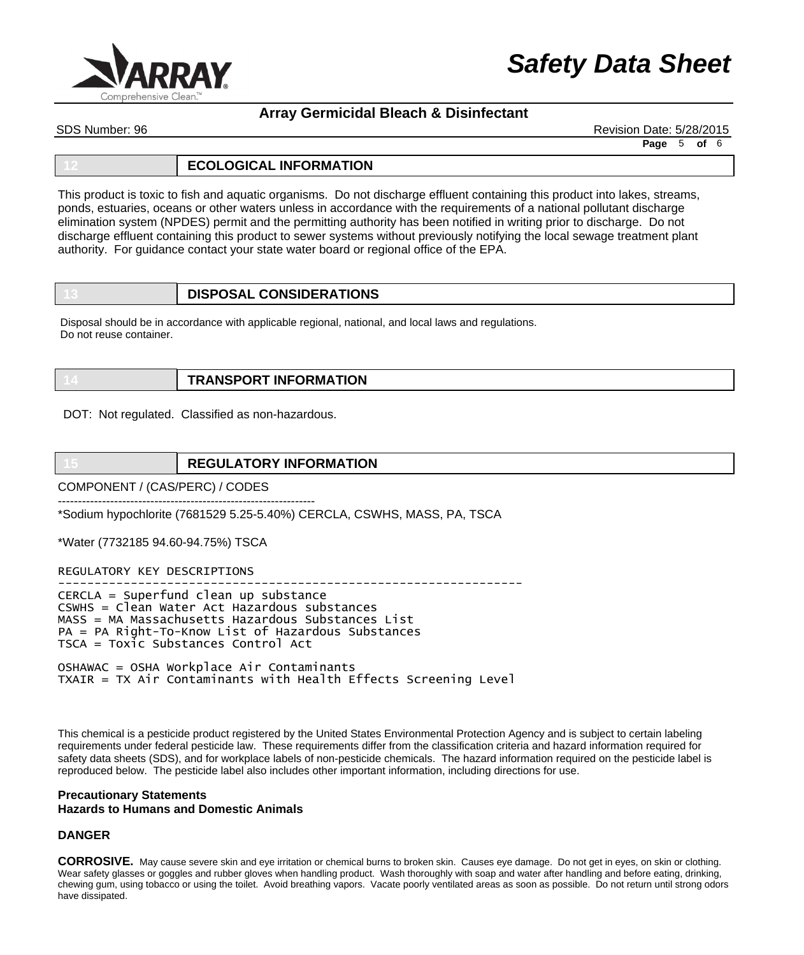

# **Array Germicidal Bleach & Disinfectant**

SDS Number: 96 Revision Date: 5/28/2015

**Page** 5 **of** 6

### **12 ECOLOGICAL INFORMATION**

This product is toxic to fish and aquatic organisms. Do not discharge effluent containing this product into lakes, streams, ponds, estuaries, oceans or other waters unless in accordance with the requirements of a national pollutant discharge elimination system (NPDES) permit and the permitting authority has been notified in writing prior to discharge. Do not discharge effluent containing this product to sewer systems without previously notifying the local sewage treatment plant authority. For guidance contact your state water board or regional office of the EPA.

|  | <b>DISPOSAL CONSIDERATIONS</b> |
|--|--------------------------------|
|--|--------------------------------|

Disposal should be in accordance with applicable regional, national, and local laws and regulations. Do not reuse container.

|  | <b>TRANSPORT INFORMATION</b> |
|--|------------------------------|
|--|------------------------------|

DOT: Not regulated. Classified as non-hazardous.

# **15 REGULATORY INFORMATION**

COMPONENT / (CAS/PERC) / CODES

---------------------------------------------------------------- \*Sodium hypochlorite (7681529 5.25-5.40%) CERCLA, CSWHS, MASS, PA, TSCA

\*Water (7732185 94.60-94.75%) TSCA

REGULATORY KEY DESCRIPTIONS

---------------------------------------------------------------- CERCLA = Superfund clean up substance CSWHS = Clean Water Act Hazardous substances MASS = MA Massachusetts Hazardous Substances List PA = PA Right-To-Know List of Hazardous Substances TSCA = Toxic Substances Control Act

OSHAWAC = OSHA Workplace Air Contaminants TXAIR = TX Air Contaminants with Health Effects Screening Level

This chemical is a pesticide product registered by the United States Environmental Protection Agency and is subject to certain labeling requirements under federal pesticide law. These requirements differ from the classification criteria and hazard information required for safety data sheets (SDS), and for workplace labels of non-pesticide chemicals. The hazard information required on the pesticide label is reproduced below. The pesticide label also includes other important information, including directions for use.

## **Precautionary Statements Hazards to Humans and Domestic Animals**

### **DANGER**

**CORROSIVE.** May cause severe skin and eye irritation or chemical burns to broken skin. Causes eye damage. Do not get in eyes, on skin or clothing. Wear safety glasses or goggles and rubber gloves when handling product. Wash thoroughly with soap and water after handling and before eating, drinking, chewing gum, using tobacco or using the toilet. Avoid breathing vapors. Vacate poorly ventilated areas as soon as possible. Do not return until strong odors have dissipated.